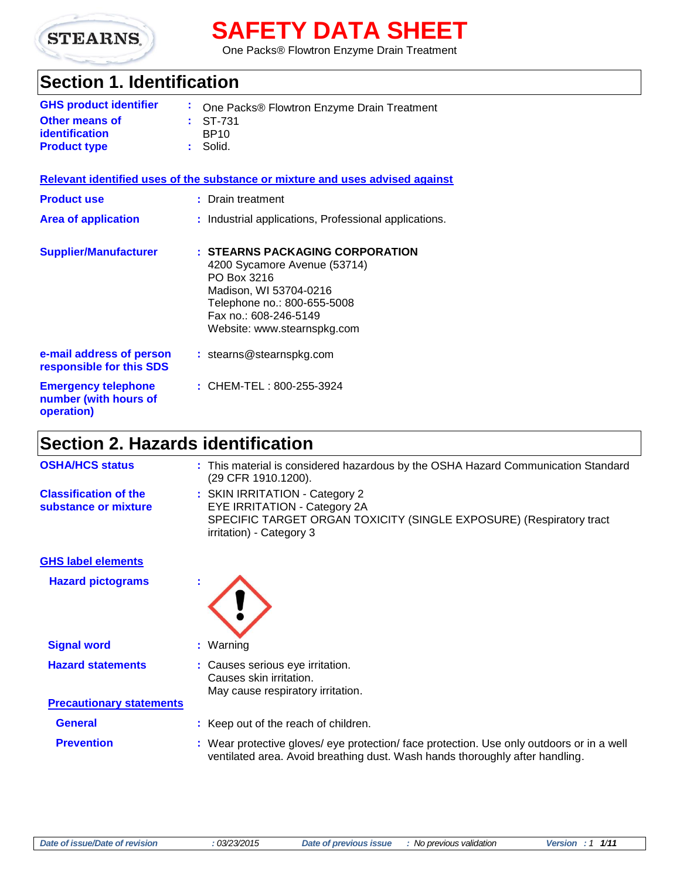

# **SAFETY DATA SHEET**

One Packs® Flowtron Enzyme Drain Treatment

# **Section 1. Identification**

| <b>GHS product identifier</b> | : One Packs® Flowtron Enzyme Drain Treatment |
|-------------------------------|----------------------------------------------|
| <b>Other means of</b>         | $\pm$ ST-731                                 |
| <i>identification</i>         | BP <sub>10</sub>                             |
| <b>Product type</b>           | : Solid.                                     |

### **Relevant identified uses of the substance or mixture and uses advised against**

| <b>Product use</b>                                                | : Drain treatment                                                                                                                                                                               |
|-------------------------------------------------------------------|-------------------------------------------------------------------------------------------------------------------------------------------------------------------------------------------------|
| <b>Area of application</b>                                        | : Industrial applications, Professional applications.                                                                                                                                           |
| <b>Supplier/Manufacturer</b>                                      | : STEARNS PACKAGING CORPORATION<br>4200 Sycamore Avenue (53714)<br>PO Box 3216<br>Madison, WI 53704-0216<br>Telephone no.: 800-655-5008<br>Fax no.: 608-246-5149<br>Website: www.stearnspkg.com |
| e-mail address of person<br>responsible for this SDS              | : stearns@stearnspkg.com                                                                                                                                                                        |
| <b>Emergency telephone</b><br>number (with hours of<br>operation) | : CHEM-TEL: $800 - 255 - 3924$                                                                                                                                                                  |

# **Section 2. Hazards identification**

| <b>OSHA/HCS status</b>                               | : This material is considered hazardous by the OSHA Hazard Communication Standard<br>(29 CFR 1910.1200).                                                                  |
|------------------------------------------------------|---------------------------------------------------------------------------------------------------------------------------------------------------------------------------|
| <b>Classification of the</b><br>substance or mixture | : SKIN IRRITATION - Category 2<br><b>EYE IRRITATION - Category 2A</b><br>SPECIFIC TARGET ORGAN TOXICITY (SINGLE EXPOSURE) (Respiratory tract<br>irritation) - Category 3  |
| <b>GHS label elements</b>                            |                                                                                                                                                                           |
| <b>Hazard pictograms</b>                             |                                                                                                                                                                           |
| <b>Signal word</b>                                   | : Warning                                                                                                                                                                 |
| <b>Hazard statements</b>                             | : Causes serious eye irritation.<br>Causes skin irritation.<br>May cause respiratory irritation.                                                                          |
| <b>Precautionary statements</b>                      |                                                                                                                                                                           |
| <b>General</b>                                       | : Keep out of the reach of children.                                                                                                                                      |
| <b>Prevention</b>                                    | : Wear protective gloves/ eye protection/ face protection. Use only outdoors or in a well<br>ventilated area. Avoid breathing dust. Wash hands thoroughly after handling. |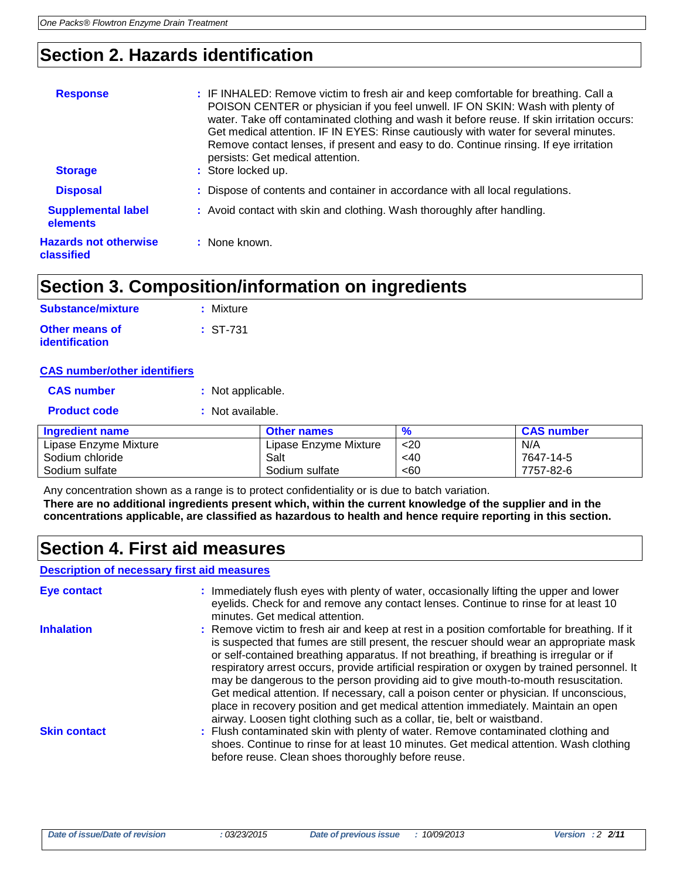# **Section 2. Hazards identification**

| <b>Response</b><br><b>Storage</b>          | : IF INHALED: Remove victim to fresh air and keep comfortable for breathing. Call a<br>POISON CENTER or physician if you feel unwell. IF ON SKIN: Wash with plenty of<br>water. Take off contaminated clothing and wash it before reuse. If skin irritation occurs:<br>Get medical attention. IF IN EYES: Rinse cautiously with water for several minutes.<br>Remove contact lenses, if present and easy to do. Continue rinsing. If eye irritation<br>persists: Get medical attention.<br>: Store locked up. |
|--------------------------------------------|---------------------------------------------------------------------------------------------------------------------------------------------------------------------------------------------------------------------------------------------------------------------------------------------------------------------------------------------------------------------------------------------------------------------------------------------------------------------------------------------------------------|
| <b>Disposal</b>                            | : Dispose of contents and container in accordance with all local regulations.                                                                                                                                                                                                                                                                                                                                                                                                                                 |
| <b>Supplemental label</b><br>elements      | : Avoid contact with skin and clothing. Wash thoroughly after handling.                                                                                                                                                                                                                                                                                                                                                                                                                                       |
| <b>Hazards not otherwise</b><br>classified | : None known.                                                                                                                                                                                                                                                                                                                                                                                                                                                                                                 |

# **Section 3. Composition/information on ingredients**

| <b>Substance/mixture</b>                | : Mixture  |
|-----------------------------------------|------------|
| <b>Other means of</b><br>identification | $: ST-731$ |

### **CAS number/other identifiers**

| <b>CAS number</b>      | : Not applicable. |                    |
|------------------------|-------------------|--------------------|
| <b>Product code</b>    | : Not available.  |                    |
| <b>Ingredient name</b> |                   | <b>Other names</b> |
| Lipase Enzyme Mixture  |                   | Lipase Enzyme Mixt |
| Sodium chloride        |                   | Salt               |

| Ingredient name       | <b>Other names</b>    | $\frac{9}{6}$ | <b>CAS number</b> |
|-----------------------|-----------------------|---------------|-------------------|
| Lipase Enzyme Mixture | Lipase Enzyme Mixture | $20$          | N/A               |
| Sodium chloride       | Salt                  | $<$ 40        | 7647-14-5         |
| Sodium sulfate        | Sodium sulfate        | < 60          | 7757-82-6         |
|                       |                       |               |                   |

Any concentration shown as a range is to protect confidentiality or is due to batch variation. **There are no additional ingredients present which, within the current knowledge of the supplier and in the concentrations applicable, are classified as hazardous to health and hence require reporting in this section.**

### **Section 4. First aid measures**

### **Description of necessary first aid measures**

| <b>Eye contact</b>  | : Immediately flush eyes with plenty of water, occasionally lifting the upper and lower<br>eyelids. Check for and remove any contact lenses. Continue to rinse for at least 10<br>minutes. Get medical attention.                                                                                                                                                                                                                                                                                                                                                                                                                                                                                                                    |
|---------------------|--------------------------------------------------------------------------------------------------------------------------------------------------------------------------------------------------------------------------------------------------------------------------------------------------------------------------------------------------------------------------------------------------------------------------------------------------------------------------------------------------------------------------------------------------------------------------------------------------------------------------------------------------------------------------------------------------------------------------------------|
| <b>Inhalation</b>   | : Remove victim to fresh air and keep at rest in a position comfortable for breathing. If it<br>is suspected that fumes are still present, the rescuer should wear an appropriate mask<br>or self-contained breathing apparatus. If not breathing, if breathing is irregular or if<br>respiratory arrest occurs, provide artificial respiration or oxygen by trained personnel. It<br>may be dangerous to the person providing aid to give mouth-to-mouth resuscitation.<br>Get medical attention. If necessary, call a poison center or physician. If unconscious,<br>place in recovery position and get medical attention immediately. Maintain an open<br>airway. Loosen tight clothing such as a collar, tie, belt or waistband. |
| <b>Skin contact</b> | : Flush contaminated skin with plenty of water. Remove contaminated clothing and<br>shoes. Continue to rinse for at least 10 minutes. Get medical attention. Wash clothing<br>before reuse. Clean shoes thoroughly before reuse.                                                                                                                                                                                                                                                                                                                                                                                                                                                                                                     |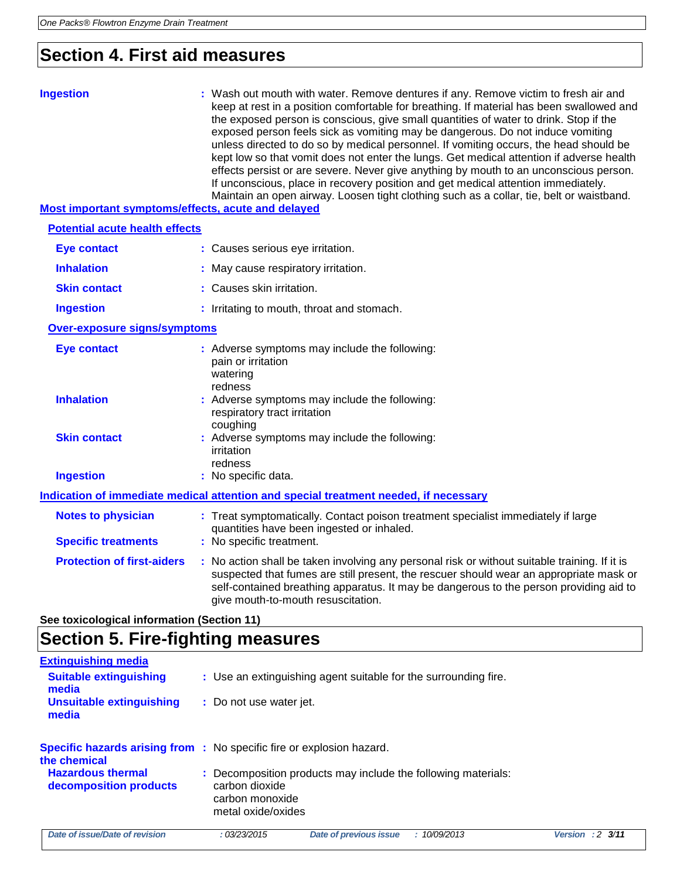**Unsuitable extinguishing**

**media**

**the chemical**

**Hazardous thermal decomposition products**

# **Section 4. First aid measures**

| <b>Ingestion</b><br>Most important symptoms/effects, acute and delayed | : Wash out mouth with water. Remove dentures if any. Remove victim to fresh air and<br>keep at rest in a position comfortable for breathing. If material has been swallowed and<br>the exposed person is conscious, give small quantities of water to drink. Stop if the<br>exposed person feels sick as vomiting may be dangerous. Do not induce vomiting<br>unless directed to do so by medical personnel. If vomiting occurs, the head should be<br>kept low so that vomit does not enter the lungs. Get medical attention if adverse health<br>effects persist or are severe. Never give anything by mouth to an unconscious person.<br>If unconscious, place in recovery position and get medical attention immediately.<br>Maintain an open airway. Loosen tight clothing such as a collar, tie, belt or waistband. |
|------------------------------------------------------------------------|---------------------------------------------------------------------------------------------------------------------------------------------------------------------------------------------------------------------------------------------------------------------------------------------------------------------------------------------------------------------------------------------------------------------------------------------------------------------------------------------------------------------------------------------------------------------------------------------------------------------------------------------------------------------------------------------------------------------------------------------------------------------------------------------------------------------------|
| <b>Potential acute health effects</b>                                  |                                                                                                                                                                                                                                                                                                                                                                                                                                                                                                                                                                                                                                                                                                                                                                                                                           |
| <b>Eye contact</b>                                                     | : Causes serious eye irritation.                                                                                                                                                                                                                                                                                                                                                                                                                                                                                                                                                                                                                                                                                                                                                                                          |
| <b>Inhalation</b>                                                      | : May cause respiratory irritation.                                                                                                                                                                                                                                                                                                                                                                                                                                                                                                                                                                                                                                                                                                                                                                                       |
| <b>Skin contact</b>                                                    | : Causes skin irritation.                                                                                                                                                                                                                                                                                                                                                                                                                                                                                                                                                                                                                                                                                                                                                                                                 |
| <b>Ingestion</b>                                                       | : Irritating to mouth, throat and stomach.                                                                                                                                                                                                                                                                                                                                                                                                                                                                                                                                                                                                                                                                                                                                                                                |
| <b>Over-exposure signs/symptoms</b>                                    |                                                                                                                                                                                                                                                                                                                                                                                                                                                                                                                                                                                                                                                                                                                                                                                                                           |
| <b>Eye contact</b><br><b>Inhalation</b><br><b>Skin contact</b>         | : Adverse symptoms may include the following:<br>pain or irritation<br>watering<br>redness<br>: Adverse symptoms may include the following:<br>respiratory tract irritation<br>coughing<br>: Adverse symptoms may include the following:<br>irritation<br>redness                                                                                                                                                                                                                                                                                                                                                                                                                                                                                                                                                         |
| <b>Ingestion</b>                                                       | : No specific data.                                                                                                                                                                                                                                                                                                                                                                                                                                                                                                                                                                                                                                                                                                                                                                                                       |
|                                                                        | Indication of immediate medical attention and special treatment needed, if necessary                                                                                                                                                                                                                                                                                                                                                                                                                                                                                                                                                                                                                                                                                                                                      |
| <b>Notes to physician</b><br><b>Specific treatments</b>                | : Treat symptomatically. Contact poison treatment specialist immediately if large<br>quantities have been ingested or inhaled.<br>: No specific treatment.                                                                                                                                                                                                                                                                                                                                                                                                                                                                                                                                                                                                                                                                |
| <b>Protection of first-aiders</b>                                      | : No action shall be taken involving any personal risk or without suitable training. If it is<br>suspected that fumes are still present, the rescuer should wear an appropriate mask or<br>self-contained breathing apparatus. It may be dangerous to the person providing aid to<br>give mouth-to-mouth resuscitation.                                                                                                                                                                                                                                                                                                                                                                                                                                                                                                   |
| See toxicological information (Section 11)                             |                                                                                                                                                                                                                                                                                                                                                                                                                                                                                                                                                                                                                                                                                                                                                                                                                           |
| <b>Section 5. Fire-fighting measures</b>                               |                                                                                                                                                                                                                                                                                                                                                                                                                                                                                                                                                                                                                                                                                                                                                                                                                           |
| <b>Extinguishing media</b><br><b>Suitable extinguishing</b><br>media   | : Use an extinguishing agent suitable for the surrounding fire.                                                                                                                                                                                                                                                                                                                                                                                                                                                                                                                                                                                                                                                                                                                                                           |

*Date of issue/Date of revision : 03/23/2015 Date of previous issue : 10/09/2013 Version : 2 3/11*

**:** Decomposition products may include the following materials:

**:** Do not use water jet.

carbon dioxide carbon monoxide metal oxide/oxides

**Specific hazards arising from :** No specific fire or explosion hazard.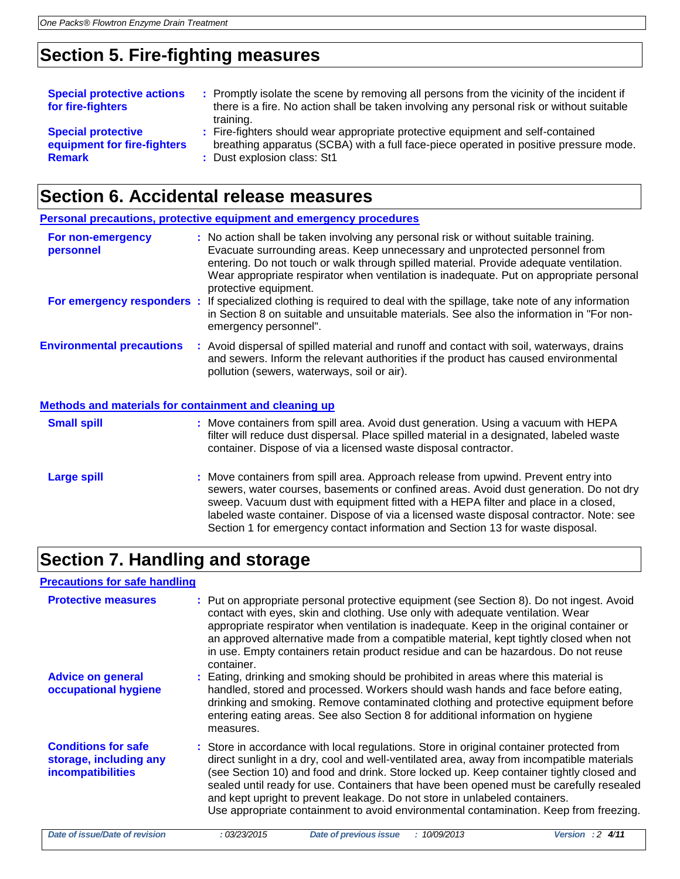# **Section 5. Fire-fighting measures**

| <b>Special protective actions</b><br>for fire-fighters | : Promptly isolate the scene by removing all persons from the vicinity of the incident if<br>there is a fire. No action shall be taken involving any personal risk or without suitable<br>training. |
|--------------------------------------------------------|-----------------------------------------------------------------------------------------------------------------------------------------------------------------------------------------------------|
| <b>Special protective</b>                              | : Fire-fighters should wear appropriate protective equipment and self-contained                                                                                                                     |
| equipment for fire-fighters                            | breathing apparatus (SCBA) with a full face-piece operated in positive pressure mode.                                                                                                               |
| <b>Remark</b>                                          | : Dust explosion class: St1                                                                                                                                                                         |

# **Section 6. Accidental release measures**

**Personal precautions, protective equipment and emergency procedures**

| For non-emergency<br>personnel   | : No action shall be taken involving any personal risk or without suitable training.<br>Evacuate surrounding areas. Keep unnecessary and unprotected personnel from<br>entering. Do not touch or walk through spilled material. Provide adequate ventilation.<br>Wear appropriate respirator when ventilation is inadequate. Put on appropriate personal<br>protective equipment. |
|----------------------------------|-----------------------------------------------------------------------------------------------------------------------------------------------------------------------------------------------------------------------------------------------------------------------------------------------------------------------------------------------------------------------------------|
| For emergency responders :       | If specialized clothing is required to deal with the spillage, take note of any information<br>in Section 8 on suitable and unsuitable materials. See also the information in "For non-<br>emergency personnel".                                                                                                                                                                  |
| <b>Environmental precautions</b> | : Avoid dispersal of spilled material and runoff and contact with soil, waterways, drains<br>and sewers. Inform the relevant authorities if the product has caused environmental<br>pollution (sewers, waterways, soil or air).                                                                                                                                                   |
|                                  |                                                                                                                                                                                                                                                                                                                                                                                   |

#### **Methods and materials for containment and cleaning up**

| <b>Small spill</b> | : Move containers from spill area. Avoid dust generation. Using a vacuum with HEPA<br>filter will reduce dust dispersal. Place spilled material in a designated, labeled waste<br>container. Dispose of via a licensed waste disposal contractor.                                                                                                                                                                                               |
|--------------------|-------------------------------------------------------------------------------------------------------------------------------------------------------------------------------------------------------------------------------------------------------------------------------------------------------------------------------------------------------------------------------------------------------------------------------------------------|
| <b>Large spill</b> | : Move containers from spill area. Approach release from upwind. Prevent entry into<br>sewers, water courses, basements or confined areas. Avoid dust generation. Do not dry<br>sweep. Vacuum dust with equipment fitted with a HEPA filter and place in a closed,<br>labeled waste container. Dispose of via a licensed waste disposal contractor. Note: see<br>Section 1 for emergency contact information and Section 13 for waste disposal. |

### **Section 7. Handling and storage**

### **Precautions for safe handling**

| <b>Protective measures</b>                                                | : Put on appropriate personal protective equipment (see Section 8). Do not ingest. Avoid<br>contact with eyes, skin and clothing. Use only with adequate ventilation. Wear<br>appropriate respirator when ventilation is inadequate. Keep in the original container or<br>an approved alternative made from a compatible material, kept tightly closed when not<br>in use. Empty containers retain product residue and can be hazardous. Do not reuse<br>container.                                                                                |
|---------------------------------------------------------------------------|----------------------------------------------------------------------------------------------------------------------------------------------------------------------------------------------------------------------------------------------------------------------------------------------------------------------------------------------------------------------------------------------------------------------------------------------------------------------------------------------------------------------------------------------------|
| <b>Advice on general</b><br>occupational hygiene                          | : Eating, drinking and smoking should be prohibited in areas where this material is<br>handled, stored and processed. Workers should wash hands and face before eating,<br>drinking and smoking. Remove contaminated clothing and protective equipment before<br>entering eating areas. See also Section 8 for additional information on hygiene<br>measures.                                                                                                                                                                                      |
| <b>Conditions for safe</b><br>storage, including any<br>incompatibilities | : Store in accordance with local regulations. Store in original container protected from<br>direct sunlight in a dry, cool and well-ventilated area, away from incompatible materials<br>(see Section 10) and food and drink. Store locked up. Keep container tightly closed and<br>sealed until ready for use. Containers that have been opened must be carefully resealed<br>and kept upright to prevent leakage. Do not store in unlabeled containers.<br>Use appropriate containment to avoid environmental contamination. Keep from freezing. |
| Date of issue/Date of revision                                            | <b>Date of previous issue</b><br>: 03/23/2015<br>: 10/09/2013<br>Version : $2 \frac{4}{11}$                                                                                                                                                                                                                                                                                                                                                                                                                                                        |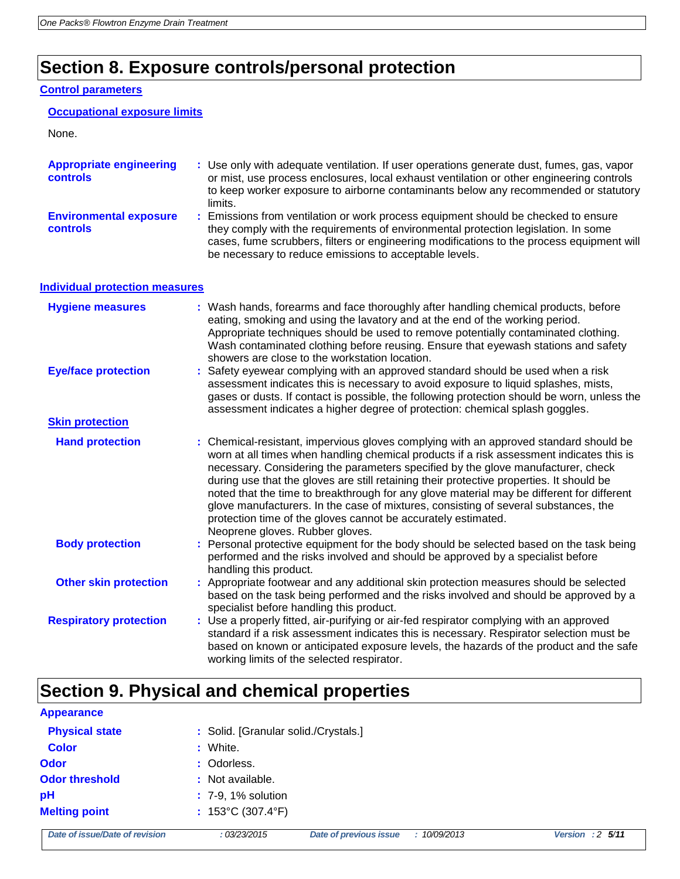# **Section 8. Exposure controls/personal protection**

### **Control parameters**

|  | <b>Occupational exposure limits</b> |  |
|--|-------------------------------------|--|
|  |                                     |  |

| <b>Appropriate engineering</b><br>controls       | : Use only with adequate ventilation. If user operations generate dust, fumes, gas, vapor<br>or mist, use process enclosures, local exhaust ventilation or other engineering controls<br>to keep worker exposure to airborne contaminants below any recommended or statutory<br>limits.                                         |
|--------------------------------------------------|---------------------------------------------------------------------------------------------------------------------------------------------------------------------------------------------------------------------------------------------------------------------------------------------------------------------------------|
| <b>Environmental exposure</b><br><b>controls</b> | : Emissions from ventilation or work process equipment should be checked to ensure<br>they comply with the requirements of environmental protection legislation. In some<br>cases, fume scrubbers, filters or engineering modifications to the process equipment will<br>be necessary to reduce emissions to acceptable levels. |

### **Individual protection measures**

| <b>Hygiene measures</b>       | : Wash hands, forearms and face thoroughly after handling chemical products, before<br>eating, smoking and using the lavatory and at the end of the working period.<br>Appropriate techniques should be used to remove potentially contaminated clothing.<br>Wash contaminated clothing before reusing. Ensure that eyewash stations and safety<br>showers are close to the workstation location.                                                                                                                                                                                                                                                         |
|-------------------------------|-----------------------------------------------------------------------------------------------------------------------------------------------------------------------------------------------------------------------------------------------------------------------------------------------------------------------------------------------------------------------------------------------------------------------------------------------------------------------------------------------------------------------------------------------------------------------------------------------------------------------------------------------------------|
| <b>Eye/face protection</b>    | : Safety eyewear complying with an approved standard should be used when a risk<br>assessment indicates this is necessary to avoid exposure to liquid splashes, mists,<br>gases or dusts. If contact is possible, the following protection should be worn, unless the<br>assessment indicates a higher degree of protection: chemical splash goggles.                                                                                                                                                                                                                                                                                                     |
| <b>Skin protection</b>        |                                                                                                                                                                                                                                                                                                                                                                                                                                                                                                                                                                                                                                                           |
| <b>Hand protection</b>        | : Chemical-resistant, impervious gloves complying with an approved standard should be<br>worn at all times when handling chemical products if a risk assessment indicates this is<br>necessary. Considering the parameters specified by the glove manufacturer, check<br>during use that the gloves are still retaining their protective properties. It should be<br>noted that the time to breakthrough for any glove material may be different for different<br>glove manufacturers. In the case of mixtures, consisting of several substances, the<br>protection time of the gloves cannot be accurately estimated.<br>Neoprene gloves. Rubber gloves. |
| <b>Body protection</b>        | : Personal protective equipment for the body should be selected based on the task being<br>performed and the risks involved and should be approved by a specialist before<br>handling this product.                                                                                                                                                                                                                                                                                                                                                                                                                                                       |
| <b>Other skin protection</b>  | : Appropriate footwear and any additional skin protection measures should be selected<br>based on the task being performed and the risks involved and should be approved by a<br>specialist before handling this product.                                                                                                                                                                                                                                                                                                                                                                                                                                 |
| <b>Respiratory protection</b> | : Use a properly fitted, air-purifying or air-fed respirator complying with an approved<br>standard if a risk assessment indicates this is necessary. Respirator selection must be<br>based on known or anticipated exposure levels, the hazards of the product and the safe<br>working limits of the selected respirator.                                                                                                                                                                                                                                                                                                                                |

# **Section 9. Physical and chemical properties**

| <b>Appearance</b>              |                                        |                               |              |                           |
|--------------------------------|----------------------------------------|-------------------------------|--------------|---------------------------|
| <b>Physical state</b>          | : Solid. [Granular solid./Crystals.]   |                               |              |                           |
| <b>Color</b>                   | : White.                               |                               |              |                           |
| Odor                           | : Odorless.                            |                               |              |                           |
| <b>Odor threshold</b>          | : Not available.                       |                               |              |                           |
| pН                             | : 7-9, 1% solution                     |                               |              |                           |
| <b>Melting point</b>           | : $153^{\circ}$ C (307.4 $^{\circ}$ F) |                               |              |                           |
| Date of issue/Date of revision | : 03/23/2015                           | <b>Date of previous issue</b> | : 10/09/2013 | Version : $2\frac{5}{11}$ |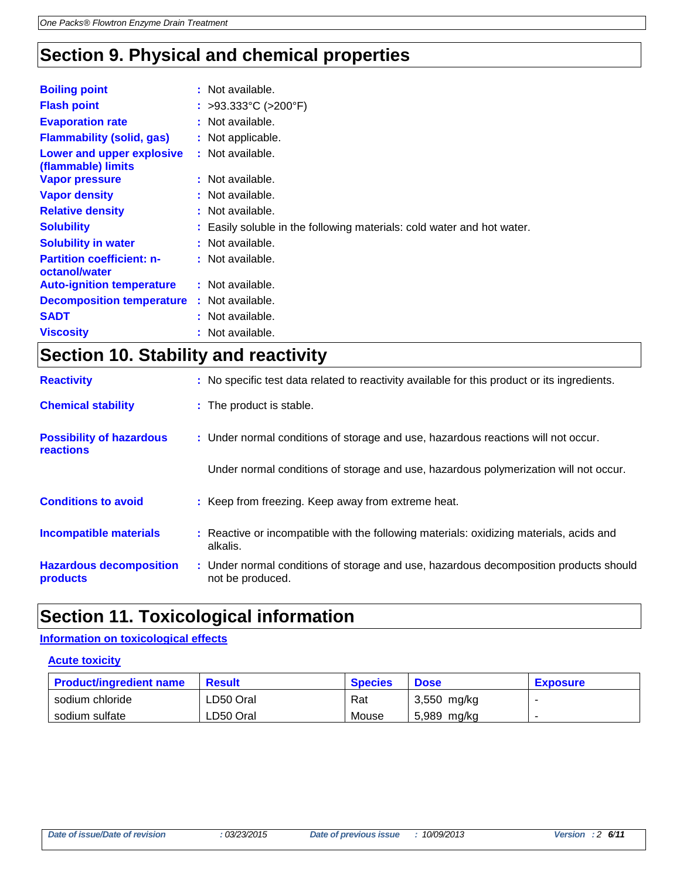# **Section 9. Physical and chemical properties**

| <b>Boiling point</b>                              | : Not available.                                                     |
|---------------------------------------------------|----------------------------------------------------------------------|
| <b>Flash point</b>                                | : >93.333°C (>200°F)                                                 |
| <b>Evaporation rate</b>                           | : Not available.                                                     |
| <b>Flammability (solid, gas)</b>                  | : Not applicable.                                                    |
| Lower and upper explosive<br>(flammable) limits   | : Not available.                                                     |
| <b>Vapor pressure</b>                             | : Not available.                                                     |
| <b>Vapor density</b>                              | : Not available.                                                     |
| <b>Relative density</b>                           | : Not available.                                                     |
| <b>Solubility</b>                                 | Easily soluble in the following materials: cold water and hot water. |
| <b>Solubility in water</b>                        | : Not available.                                                     |
| <b>Partition coefficient: n-</b><br>octanol/water | : Not available.                                                     |
| <b>Auto-ignition temperature</b>                  | : Not available.                                                     |
| <b>Decomposition temperature</b>                  | : Not available.                                                     |
| <b>SADT</b>                                       | : Not available.                                                     |
| <b>Viscosity</b>                                  | : Not available.                                                     |

### **Section 10. Stability and reactivity**

| <b>Reactivity</b>                            | : No specific test data related to reactivity available for this product or its ingredients.              |
|----------------------------------------------|-----------------------------------------------------------------------------------------------------------|
| <b>Chemical stability</b>                    | : The product is stable.                                                                                  |
| <b>Possibility of hazardous</b><br>reactions | : Under normal conditions of storage and use, hazardous reactions will not occur.                         |
|                                              | Under normal conditions of storage and use, hazardous polymerization will not occur.                      |
| <b>Conditions to avoid</b>                   | : Keep from freezing. Keep away from extreme heat.                                                        |
| <b>Incompatible materials</b>                | : Reactive or incompatible with the following materials: oxidizing materials, acids and<br>alkalis.       |
| <b>Hazardous decomposition</b><br>products   | : Under normal conditions of storage and use, hazardous decomposition products should<br>not be produced. |

# **Section 11. Toxicological information**

### **Information on toxicological effects**

### **Acute toxicity**

| <b>Product/ingredient name</b> | Result    | <b>Species</b> | <b>Dose</b>   | <b>Exposure</b> |
|--------------------------------|-----------|----------------|---------------|-----------------|
| sodium chloride                | LD50 Oral | Rat            | $3,550$ mg/kg |                 |
| sodium sulfate                 | LD50 Oral | Mouse          | 5,989 mg/kg   |                 |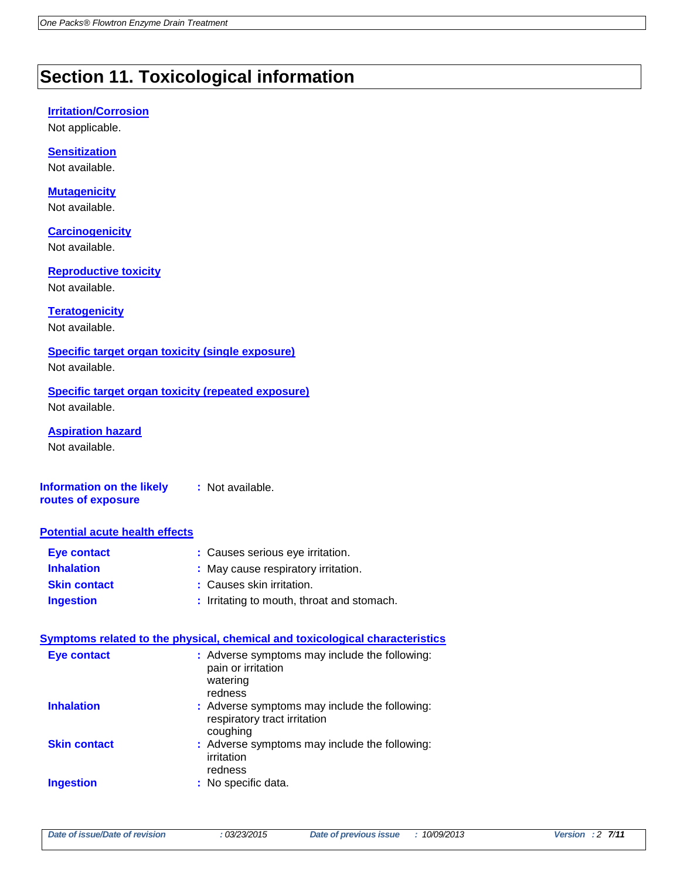# **Section 11. Toxicological information**

#### **Irritation/Corrosion**

Not applicable.

#### **Sensitization** Not available.

**Mutagenicity** Not available.

**Carcinogenicity** Not available.

**Reproductive toxicity** Not available.

### **Teratogenicity**

Not available.

### **Specific target organ toxicity (single exposure)** Not available.

**Specific target organ toxicity (repeated exposure)** Not available.

**Aspiration hazard** Not available.

**Information on the likely routes of exposure :** Not available.

### **Potential acute health effects**

| Eye contact         | : Causes serious eye irritation.           |
|---------------------|--------------------------------------------|
| <b>Inhalation</b>   | : May cause respiratory irritation.        |
| <b>Skin contact</b> | : Causes skin irritation.                  |
| <b>Ingestion</b>    | : Irritating to mouth, throat and stomach. |

#### **Symptoms related to the physical, chemical and toxicological characteristics**

| <b>Eye contact</b>  | : Adverse symptoms may include the following:<br>pain or irritation<br>watering<br>redness |
|---------------------|--------------------------------------------------------------------------------------------|
| <b>Inhalation</b>   | : Adverse symptoms may include the following:<br>respiratory tract irritation<br>coughing  |
| <b>Skin contact</b> | : Adverse symptoms may include the following:<br>irritation<br>redness                     |
| <b>Ingestion</b>    | : No specific data.                                                                        |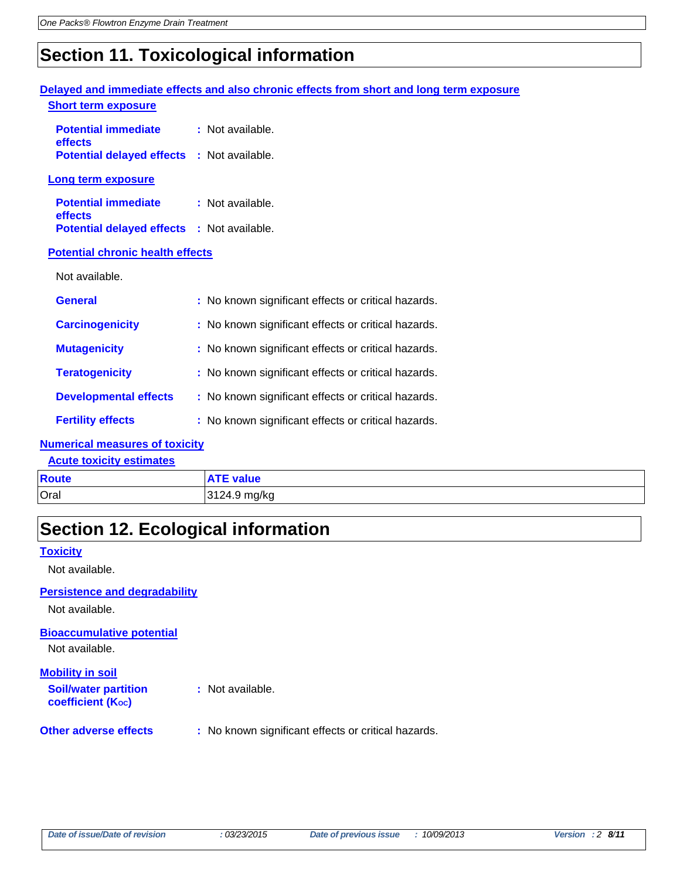# **Section 11. Toxicological information**

|                                                   | Delayed and immediate effects and also chronic effects from short and long term exposure |
|---------------------------------------------------|------------------------------------------------------------------------------------------|
| <b>Short term exposure</b>                        |                                                                                          |
| <b>Potential immediate</b><br>effects             | : Not available.                                                                         |
| <b>Potential delayed effects : Not available.</b> |                                                                                          |
| Long term exposure                                |                                                                                          |
| <b>Potential immediate</b><br>effects             | : Not available.                                                                         |
| <b>Potential delayed effects : Not available.</b> |                                                                                          |
| <b>Potential chronic health effects</b>           |                                                                                          |
| Not available.                                    |                                                                                          |
| <b>General</b>                                    | : No known significant effects or critical hazards.                                      |
| <b>Carcinogenicity</b>                            | : No known significant effects or critical hazards.                                      |
| <b>Mutagenicity</b>                               | : No known significant effects or critical hazards.                                      |
| <b>Teratogenicity</b>                             | : No known significant effects or critical hazards.                                      |
| <b>Developmental effects</b>                      | : No known significant effects or critical hazards.                                      |
| <b>Fertility effects</b>                          | : No known significant effects or critical hazards.                                      |

### **Numerical measures of toxicity**

**Acute toxicity estimates**

| Route | : value      |
|-------|--------------|
| Oral  | 3124.9 mg/kg |

# **Section 12. Ecological information**

### **Toxicity**

Not available.

#### **Persistence and degradability**

Not available.

**Bioaccumulative potential**

Not available.

### **Mobility in soil**

**Soil/water partition coefficient (KOC)**

**:** Not available.

**Other adverse effects** : No known significant effects or critical hazards.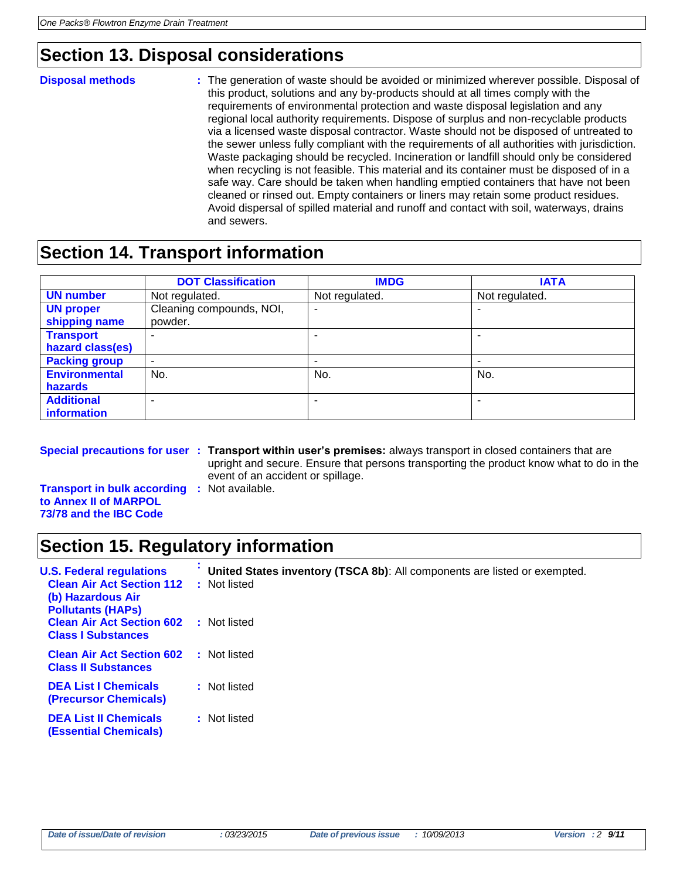# **Section 13. Disposal considerations**

**Disposal methods :** The generation of waste should be avoided or minimized wherever possible. Disposal of this product, solutions and any by-products should at all times comply with the requirements of environmental protection and waste disposal legislation and any regional local authority requirements. Dispose of surplus and non-recyclable products via a licensed waste disposal contractor. Waste should not be disposed of untreated to the sewer unless fully compliant with the requirements of all authorities with jurisdiction. Waste packaging should be recycled. Incineration or landfill should only be considered when recycling is not feasible. This material and its container must be disposed of in a safe way. Care should be taken when handling emptied containers that have not been cleaned or rinsed out. Empty containers or liners may retain some product residues. Avoid dispersal of spilled material and runoff and contact with soil, waterways, drains and sewers.

### **Section 14. Transport information**

|                      | <b>DOT Classification</b> | <b>IMDG</b>    | <b>IATA</b>    |
|----------------------|---------------------------|----------------|----------------|
| <b>UN number</b>     | Not regulated.            | Not regulated. | Not regulated. |
| <b>UN proper</b>     | Cleaning compounds, NOI,  | ۰              |                |
| shipping name        | powder.                   |                |                |
| <b>Transport</b>     |                           |                |                |
| hazard class(es)     |                           |                |                |
| <b>Packing group</b> | $\overline{\phantom{a}}$  | -              | -              |
| <b>Environmental</b> | No.                       | No.            | No.            |
| <b>hazards</b>       |                           |                |                |
| <b>Additional</b>    | $\overline{\phantom{0}}$  |                | -              |
| information          |                           |                |                |

**Special precautions for user : Transport within user's premises:** always transport in closed containers that are upright and secure. Ensure that persons transporting the product know what to do in the event of an accident or spillage.

**Transport in bulk according :** Not available. **to Annex II of MARPOL 73/78 and the IBC Code**

# **Section 15. Regulatory information**

| <b>U.S. Federal regulations</b><br><b>Clean Air Act Section 112</b><br>(b) Hazardous Air<br><b>Pollutants (HAPS)</b> | United States inventory (TSCA 8b): All components are listed or exempted.<br>Not listed<br>÷. |
|----------------------------------------------------------------------------------------------------------------------|-----------------------------------------------------------------------------------------------|
| <b>Clean Air Act Section 602</b><br><b>Class I Substances</b>                                                        | : Not listed                                                                                  |
| <b>Clean Air Act Section 602</b><br><b>Class II Substances</b>                                                       | : Not listed                                                                                  |
| <b>DEA List I Chemicals</b><br><b>(Precursor Chemicals)</b>                                                          | : Not listed                                                                                  |
| <b>DEA List II Chemicals</b><br><b>(Essential Chemicals)</b>                                                         | : Not listed                                                                                  |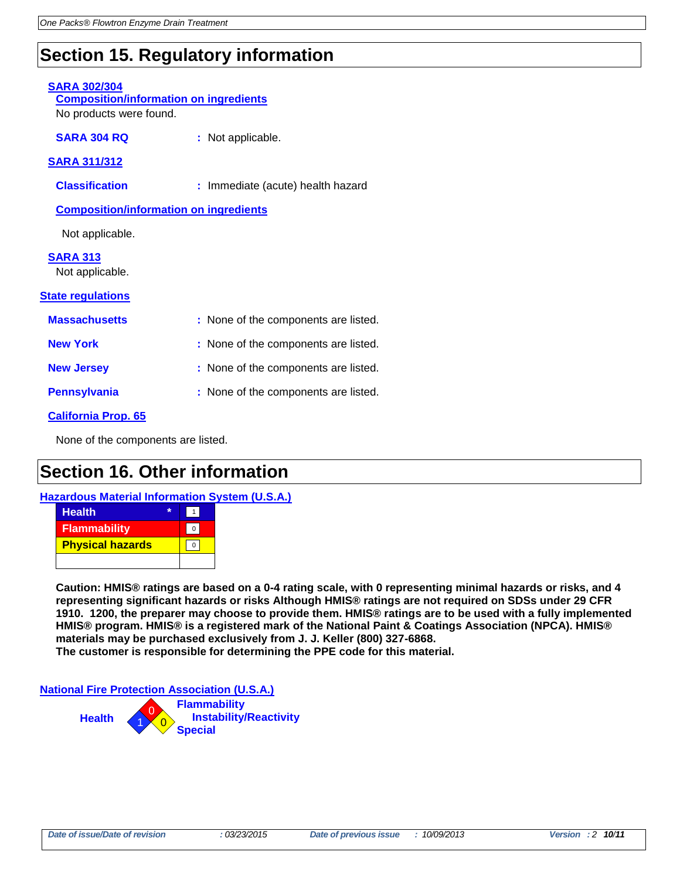# **Section 15. Regulatory information**

### **SARA 302/304**

**Composition/information on ingredients** No products were found.

**SARA 304 RQ :** Not applicable.

### **SARA 311/312**

**Classification :** Immediate (acute) health hazard

**Composition/information on ingredients**

Not applicable.

### **SARA 313**

Not applicable.

### **State regulations**

| <b>Massachusetts</b> | : None of the components are listed. |
|----------------------|--------------------------------------|
| <b>New York</b>      | : None of the components are listed. |
| <b>New Jersey</b>    | : None of the components are listed. |
| <b>Pennsylvania</b>  | : None of the components are listed. |

### **California Prop. 65**

None of the components are listed.

### **Section 16. Other information**

**Hazardous Material Information System (U.S.A.)**

| <b>Health</b>           |  |
|-------------------------|--|
| Flammability            |  |
| <b>Physical hazards</b> |  |
|                         |  |

**Caution: HMIS® ratings are based on a 0-4 rating scale, with 0 representing minimal hazards or risks, and 4 representing significant hazards or risks Although HMIS® ratings are not required on SDSs under 29 CFR 1910. 1200, the preparer may choose to provide them. HMIS® ratings are to be used with a fully implemented HMIS® program. HMIS® is a registered mark of the National Paint & Coatings Association (NPCA). HMIS® materials may be purchased exclusively from J. J. Keller (800) 327-6868. The customer is responsible for determining the PPE code for this material.**

**National Fire Protection Association (U.S.A.)**